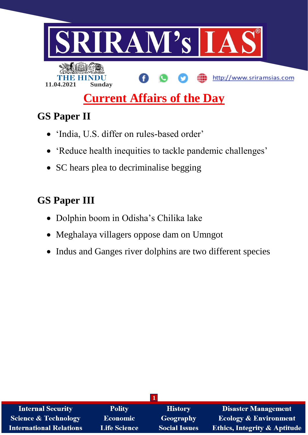

# **Current Affairs of the Day**

# **GS Paper II**

- 'India, U.S. differ on rules-based order'
- 'Reduce health inequities to tackle pandemic challenges'
- SC hears plea to decriminalise begging

# **GS Paper III**

- Dolphin boom in Odisha's Chilika lake
- Meghalaya villagers oppose dam on Umngot
- Indus and Ganges river dolphins are two different species

| <b>Internal Security</b>        | <b>Polity</b>       | <b>History</b>       | <b>Disaster Management</b>              |
|---------------------------------|---------------------|----------------------|-----------------------------------------|
| <b>Science &amp; Technology</b> | <b>Economic</b>     | <b>Geography</b>     | <b>Ecology &amp; Environment</b>        |
| <b>International Relations</b>  | <b>Life Science</b> | <b>Social Issues</b> | <b>Ethics, Integrity &amp; Aptitude</b> |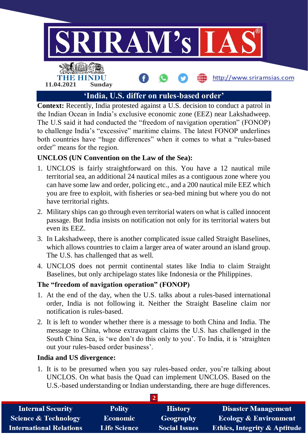

**Context:** Recently, India protested against a U.S. decision to conduct a patrol in the Indian Ocean in India's exclusive economic zone (EEZ) near Lakshadweep. The U.S said it had conducted the "freedom of navigation operation" (FONOP) to challenge India's "excessive" maritime claims. The latest FONOP underlines both countries have "huge differences" when it comes to what a "rules-based order" means for the region.

## **UNCLOS (UN Convention on the Law of the Sea):**

- 1. UNCLOS is fairly straightforward on this. You have a 12 nautical mile territorial sea, an additional 24 nautical miles as a contiguous zone where you can have some law and order, policing etc., and a 200 nautical mile EEZ which you are free to exploit, with fisheries or sea-bed mining but where you do not have territorial rights.
- 2. Military ships can go through even territorial waters on what is called innocent passage. But India insists on notification not only for its territorial waters but even its EEZ.
- 3. In Lakshadweep, there is another complicated issue called Straight Baselines, which allows countries to claim a larger area of water around an island group. The U.S. has challenged that as well.
- 4. UNCLOS does not permit continental states like India to claim Straight Baselines, but only archipelago states like Indonesia or the Philippines.

## **The "freedom of navigation operation" (FONOP)**

- 1. At the end of the day, when the U.S. talks about a rules-based international order, India is not following it. Neither the Straight Baseline claim nor notification is rules-based.
- 2. It is left to wonder whether there is a message to both China and India. The message to China, whose extravagant claims the U.S. has challenged in the South China Sea, is 'we don't do this only to you'. To India, it is 'straighten out your rules-based order business'.

## **India and US divergence:**

1. It is to be presumed when you say rules-based order, you're talking about UNCLOS. On what basis the Quad can implement UNCLOS. Based on the U.S.-based understanding or Indian understanding, there are huge differences.

| <b>Internal Security</b>        | <b>Polity</b>       | <b>History</b>       | <b>Disaster Management</b>              |
|---------------------------------|---------------------|----------------------|-----------------------------------------|
| <b>Science &amp; Technology</b> | <b>Economic</b>     | Geography            | <b>Ecology &amp; Environment</b>        |
| <b>International Relations</b>  | <b>Life Science</b> | <b>Social Issues</b> | <b>Ethics, Integrity &amp; Aptitude</b> |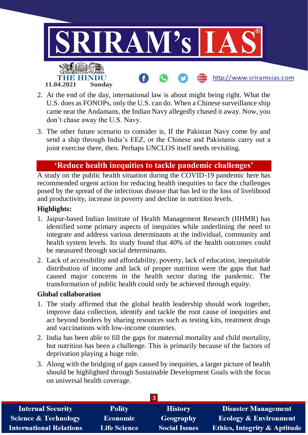

- 2. At the end of the day, international law is about might being right. What the U.S. does as FONOPs, only the U.S. can do. When a Chinese surveillance ship came near the Andamans, the Indian Navy allegedly chased it away. Now, you don't chase away the U.S. Navy.
- 3. The other future scenario to consider is, If the Pakistan Navy come by and send a ship through India's EEZ, or the Chinese and Pakistanis carry out a joint exercise there, then. Perhaps UNCLOS itself needs revisiting.

# **'Reduce health inequities to tackle pandemic challenges'**

A study on the public health situation during the COVID-19 pandemic here has recommended urgent action for reducing health inequities to face the challenges posed by the spread of the infectious disease that has led to the loss of livelihood and productivity, increase in poverty and decline in nutrition levels.

#### **Highlights:**

- 1. Jaipur-based Indian Institute of Health Management Research (IIHMR) has identified some primary aspects of inequities while underlining the need to integrate and address various determinants at the individual, community and health system levels. Its study found that 40% of the health outcomes could be measured through social determinants.
- 2. Lack of accessibility and affordability, poverty, lack of education, inequitable distribution of income and lack of proper nutrition were the gaps that had caused major concerns in the health sector during the pandemic. The transformation of public health could only be achieved through equity.

#### **Global collaboration**

- 1. The study affirmed that the global health leadership should work together, improve data collection, identify and tackle the root cause of inequities and act beyond borders by sharing resources such as testing kits, treatment drugs and vaccinations with low-income countries.
- 2. India has been able to fill the gaps for maternal mortality and child mortality, but nutrition has been a challenge. This is primarily because of the factors of deprivation playing a huge role.
- 3. Along with the bridging of gaps caused by inequities, a larger picture of health should be highlighted through Sustainable Development Goals with the focus on universal health coverage.

| <b>Internal Security</b>        | <b>Polity</b>       | <b>History</b>       | <b>Disaster Management</b>              |
|---------------------------------|---------------------|----------------------|-----------------------------------------|
| <b>Science &amp; Technology</b> | <b>Economic</b>     | Geography            | <b>Ecology &amp; Environment</b>        |
| <b>International Relations</b>  | <b>Life Science</b> | <b>Social Issues</b> | <b>Ethics, Integrity &amp; Aptitude</b> |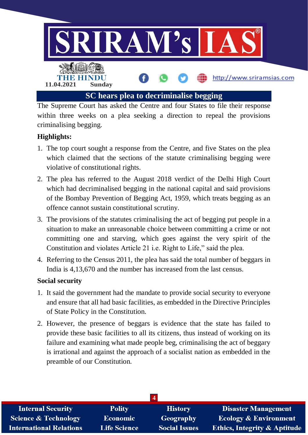

The Supreme Court has asked the Centre and four States to file their response within three weeks on a plea seeking a direction to repeal the provisions criminalising begging.

# **Highlights:**

- 1. The top court sought a response from the Centre, and five States on the plea which claimed that the sections of the statute criminalising begging were violative of constitutional rights.
- 2. The plea has referred to the August 2018 verdict of the Delhi High Court which had decriminalised begging in the national capital and said provisions of the Bombay Prevention of Begging Act, 1959, which treats begging as an offence cannot sustain constitutional scrutiny.
- 3. The provisions of the statutes criminalising the act of begging put people in a situation to make an unreasonable choice between committing a crime or not committing one and starving, which goes against the very spirit of the Constitution and violates Article 21 i.e. Right to Life," said the plea.
- 4. Referring to the Census 2011, the plea has said the total number of beggars in India is 4,13,670 and the number has increased from the last census.

## **Social security**

- 1. It said the government had the mandate to provide social security to everyone and ensure that all had basic facilities, as embedded in the Directive Principles of State Policy in the Constitution.
- 2. However, the presence of beggars is evidence that the state has failed to provide these basic facilities to all its citizens, thus instead of working on its failure and examining what made people beg, criminalising the act of beggary is irrational and against the approach of a socialist nation as embedded in the preamble of our Constitution.

| <b>Internal Security</b>        | <b>Polity</b>       | <b>History</b>       | <b>Disaster Management</b>              |
|---------------------------------|---------------------|----------------------|-----------------------------------------|
| <b>Science &amp; Technology</b> | <b>Economic</b>     | Geography            | <b>Ecology &amp; Environment</b>        |
| <b>International Relations</b>  | <b>Life Science</b> | <b>Social Issues</b> | <b>Ethics, Integrity &amp; Aptitude</b> |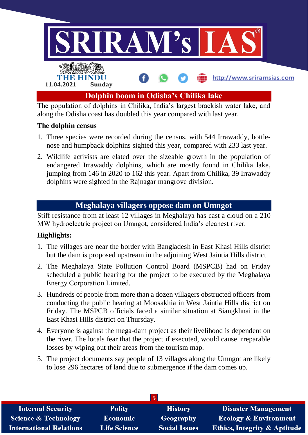

along the Odisha coast has doubled this year compared with last year.

#### **The dolphin census**

- 1. Three species were recorded during the census, with 544 Irrawaddy, bottlenose and humpback dolphins sighted this year, compared with 233 last year.
- 2. Wildlife activists are elated over the sizeable growth in the population of endangered Irrawaddy dolphins, which are mostly found in Chilika lake, jumping from 146 in 2020 to 162 this year. Apart from Chilika, 39 Irrawaddy dolphins were sighted in the Rajnagar mangrove division.

# **Meghalaya villagers oppose dam on Umngot**

Stiff resistance from at least 12 villages in Meghalaya has cast a cloud on a 210 MW hydroelectric project on Umngot, considered India's cleanest river.

## **Highlights:**

- 1. The villages are near the border with Bangladesh in East Khasi Hills district but the dam is proposed upstream in the adjoining West Jaintia Hills district.
- 2. The Meghalaya State Pollution Control Board (MSPCB) had on Friday scheduled a public hearing for the project to be executed by the Meghalaya Energy Corporation Limited.
- 3. Hundreds of people from more than a dozen villagers obstructed officers from conducting the public hearing at Moosakhia in West Jaintia Hills district on Friday. The MSPCB officials faced a similar situation at Siangkhnai in the East Khasi Hills district on Thursday.
- 4. Everyone is against the mega-dam project as their livelihood is dependent on the river. The locals fear that the project if executed, would cause irreparable losses by wiping out their areas from the tourism map.
- 5. The project documents say people of 13 villages along the Umngot are likely to lose 296 hectares of land due to submergence if the dam comes up.

| <b>Internal Security</b>        | <b>Polity</b>       | <b>History</b>       | <b>Disaster Management</b>       |
|---------------------------------|---------------------|----------------------|----------------------------------|
| <b>Science &amp; Technology</b> | <b>Economic</b>     | Geography            | <b>Ecology &amp; Environment</b> |
| <b>International Relations</b>  | <b>Life Science</b> | <b>Social Issues</b> | Ethics, Integrity & Aptitude     |